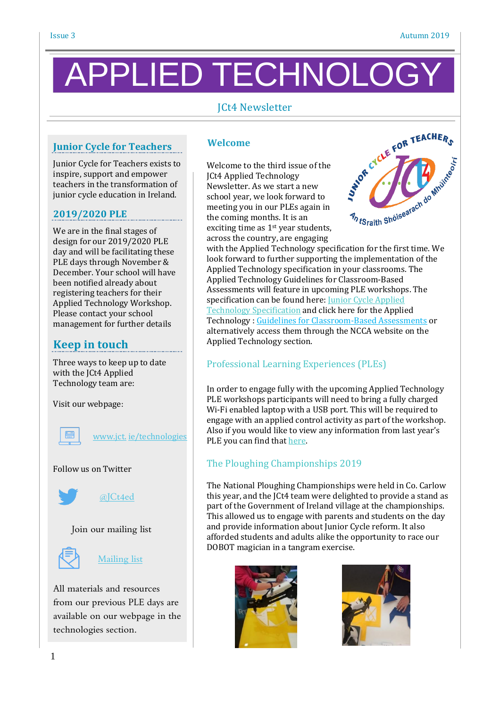# PPLIED TECHNOLC

# JCt4 Newsletter

# **Junior Cycle for Teachers**

Junior Cycle for Teachers exists to inspire, support and empower teachers in the transformation of junior cycle education in Ireland.

#### **2019/2020 PLE**

We are in the final stages of design for our 2019/2020 PLE day and will be facilitating these PLE days through November & December. Your school will have been notified already about registering teachers for their Applied Technology Workshop. Please contact your school management for further details

# **Keep in touch**

Three ways to keep up to date with the JCt4 Applied Technology team are:

Visit our webpage:

www.jct. [ie/technologies](http://www.jct.ie/technologies)

#### Follow us on Twitter



[@JCt4ed](https://twitter.com/JCt4ed)





[Mailing](https://docs.google.com/forms/d/1Qy2bpfqL6a5-k-qMYT_MtP0NL0oxLNUZKlxq1hI_gzY/viewform?usp=drive_open&edit_requested=true) list

All materials and resources from our previous PLE days are available on our webpage in the technologies section.

#### **Welcome**

Welcome to the third issue of the JCt4 Applied Technology Newsletter. As we start a new school year, we look forward to meeting you in our PLEs again in the coming months. It is an exciting time as 1<sup>st</sup> year students. across the country, are engaging where the Applied Technology specification for the first time. We<br>with the Applied Technology specification for the first time. We<br>with the Applied Technology specification for the first time. We



look forward to further supporting the implementation of the Applied Technology specification in your classrooms. The Applied Technology Guidelines for Classroom-Based Assessments will feature in upcoming PLE workshops. The specification can be found here: Junior Cycle [Applied](https://www.curriculumonline.ie/getmedia/2c3fc3c0-064c-4080-980e-a2738512b85b/Applied-Technology.pdf) Technology [Specification](https://www.curriculumonline.ie/getmedia/2c3fc3c0-064c-4080-980e-a2738512b85b/Applied-Technology.pdf) and click here for the Applied Technology : Guidelines for [Classroom-Based](https://www.curriculumonline.ie/getmedia/07aba039-b0df-4612-a071-8e225ae71977/Applied-Technology-AG.pdf) Assessments or alternatively access them through the NCCA website on the Applied Technology section.

# Professional Learning Experiences (PLEs)

In order to engage fully with the upcoming Applied Technology PLE workshops participants will need to bring a fully charged Wi-Fi enabled laptop with a USB port. This will be required to engage with an applied control activity as part of the workshop. Also if you would like to view any information from last year's PLE you can find that [here.](https://www.jct.ie/technologies/cpd_supports_applied_technology_cpd_workshops_2018_2019)

# The Ploughing Championships 2019

The National Ploughing Championships were held in Co. Carlow this year, and the JCt4 team were delighted to provide a stand as part of the Government of Ireland village at the championships. This allowed us to engage with parents and students on the day and provide information about Junior Cycle reform. It also afforded students and adults alike the opportunity to race our DOBOT magician in a tangram exercise.